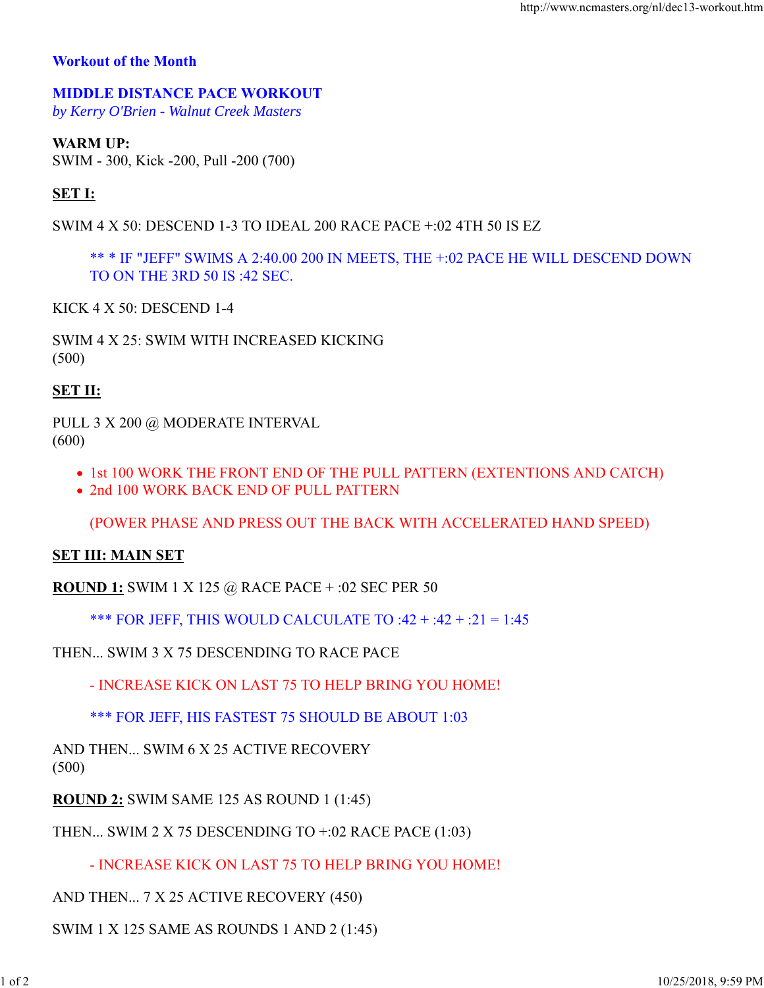### **Workout of the Month**

# **MIDDLE DISTANCE PACE WORKOUT**

*by Kerry O'Brien - Walnut Creek Masters*

## **WARM UP:**

SWIM - 300, Kick -200, Pull -200 (700)

## **SET I:**

SWIM 4 X 50: DESCEND 1-3 TO IDEAL 200 RACE PACE +:02 4TH 50 IS EZ

\*\* \* IF "JEFF" SWIMS A 2:40.00 200 IN MEETS, THE +:02 PACE HE WILL DESCEND DOWN TO ON THE 3RD 50 IS :42 SEC.

KICK 4 X 50: DESCEND 1-4

SWIM 4 X 25: SWIM WITH INCREASED KICKING (500)

### **SET II:**

PULL 3 X 200 @ MODERATE INTERVAL (600)

- 1st 100 WORK THE FRONT END OF THE PULL PATTERN (EXTENTIONS AND CATCH)
- 2nd 100 WORK BACK END OF PULL PATTERN

(POWER PHASE AND PRESS OUT THE BACK WITH ACCELERATED HAND SPEED)

### **SET III: MAIN SET**

**ROUND 1:** SWIM 1 X 125 @ RACE PACE + :02 SEC PER 50

\*\*\* FOR JEFF, THIS WOULD CALCULATE TO :42 + :42 + :21 = 1:45

THEN... SWIM 3 X 75 DESCENDING TO RACE PACE

- INCREASE KICK ON LAST 75 TO HELP BRING YOU HOME!

\*\*\* FOR JEFF, HIS FASTEST 75 SHOULD BE ABOUT 1:03

AND THEN... SWIM 6 X 25 ACTIVE RECOVERY (500)

**ROUND 2:** SWIM SAME 125 AS ROUND 1 (1:45)

THEN... SWIM 2 X 75 DESCENDING TO +:02 RACE PACE (1:03)

- INCREASE KICK ON LAST 75 TO HELP BRING YOU HOME!

AND THEN... 7 X 25 ACTIVE RECOVERY (450)

SWIM 1 X 125 SAME AS ROUNDS 1 AND 2 (1:45)